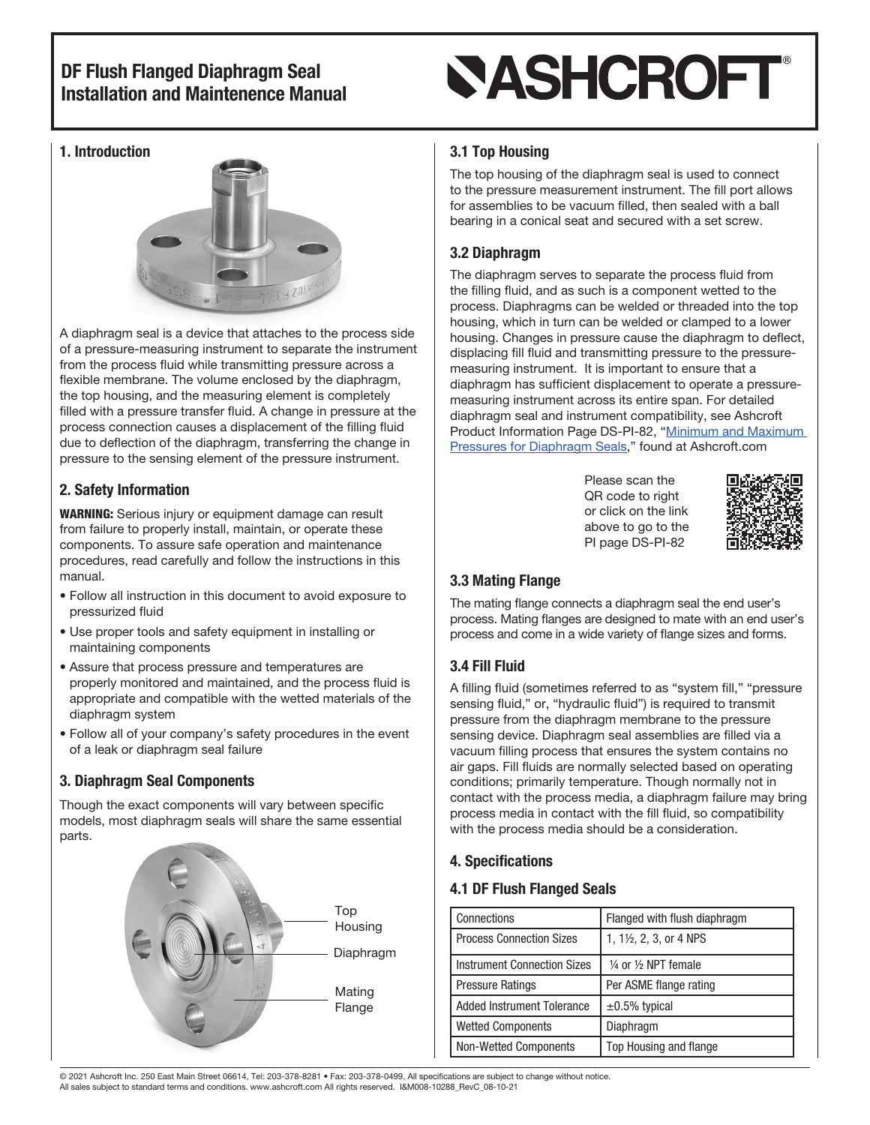# **SASHCROFT®**

#### 1. Introduction



A diaphragm seal is a device that attaches to the process side of a pressure-measuring instrument to separate the instrument from the process fluid while transmitting pressure across a flexible membrane. The volume enclosed by the diaphragm, the top housing, and the measuring element is completely filled with a pressure transfer fluid. A change in pressure at the process connection causes a displacement of the filling fluid due to deflection of the diaphragm, transferring the change in pressure to the sensing element of the pressure instrument.

#### 2. Safety Information

WARNING: Serious injury or equipment damage can result from failure to properly install, maintain, or operate these components. To assure safe operation and maintenance procedures, read carefully and follow the instructions in this manual.

- Follow all instruction in this document to avoid exposure to pressurized fluid
- Use proper tools and safety equipment in installing or maintaining components
- Assure that process pressure and temperatures are properly monitored and maintained, and the process fluid is appropriate and compatible with the wetted materials of the diaphragm system
- Follow all of your company's safety procedures in the event of a leak or diaphragm seal failure

#### 3. Diaphragm Seal Components

Though the exact components will vary between specific models, most diaphragm seals will share the same essential parts.



#### 3.1 Top Housing

The top housing of the diaphragm seal is used to connect to the pressure measurement instrument. The fill port allows for assemblies to be vacuum filled, then sealed with a ball bearing in a conical seat and secured with a set screw.

#### 3.2 Diaphragm

The diaphragm serves to separate the process fluid from the filling fluid, and as such is a component wetted to the process. Diaphragms can be welded or threaded into the top housing, which in turn can be welded or clamped to a lower housing. Changes in pressure cause the diaphragm to deflect, displacing fill fluid and transmitting pressure to the pressuremeasuring instrument. It is important to ensure that a diaphragm has sufficient displacement to operate a pressuremeasuring instrument across its entire span. For detailed diaphragm seal and instrument compatibility, see Ashcroft Product Information Page DS-PI-82, "[Minimum and Maximum](https://www.ashcroft.com/wp-content/uploads/2020/10/pi-page-minimum-maximum-pressures-diaphragm-seals-pi-82.pdf)  [Pressures for Diaphragm Seals](https://www.ashcroft.com/wp-content/uploads/2020/10/pi-page-minimum-maximum-pressures-diaphragm-seals-pi-82.pdf)," found at Ashcroft.com

> Please scan the QR code to right or click on the link above to go to the PI page DS-PI-82



#### 3.3 Mating Flange

The mating flange connects a diaphragm seal the end user's process. Mating flanges are designed to mate with an end user's process and come in a wide variety of flange sizes and forms.

#### 3.4 Fill Fluid

A filling fluid (sometimes referred to as "system fill," "pressure sensing fluid," or, "hydraulic fluid") is required to transmit pressure from the diaphragm membrane to the pressure sensing device. Diaphragm seal assemblies are filled via a vacuum filling process that ensures the system contains no air gaps. Fill fluids are normally selected based on operating conditions; primarily temperature. Though normally not in contact with the process media, a diaphragm failure may bring process media in contact with the fill fluid, so compatibility with the process media should be a consideration.

#### 4. Specifications

#### 4.1 DF Flush Flanged Seals

| Connections                        | Flanged with flush diaphragm              |  |
|------------------------------------|-------------------------------------------|--|
| <b>Process Connection Sizes</b>    | 1, 1½, 2, 3, or 4 NPS                     |  |
| <b>Instrument Connection Sizes</b> | $\frac{1}{4}$ or $\frac{1}{2}$ NPT female |  |
| <b>Pressure Ratings</b>            | Per ASME flange rating                    |  |
| <b>Added Instrument Tolerance</b>  | $\pm 0.5\%$ typical                       |  |
| <b>Wetted Components</b>           | Diaphragm                                 |  |
| <b>Non-Wetted Components</b>       | Top Housing and flange                    |  |

© 2021 Ashcroft Inc. 250 East Main Street 06614, Tel: 203-378-8281 • Fax: 203-378-0499, All specifications are subject to change without notice. All sales subject to standard terms and conditions. www.ashcroft.com All rights reserved. I&M008-10288\_RevC\_08-10-21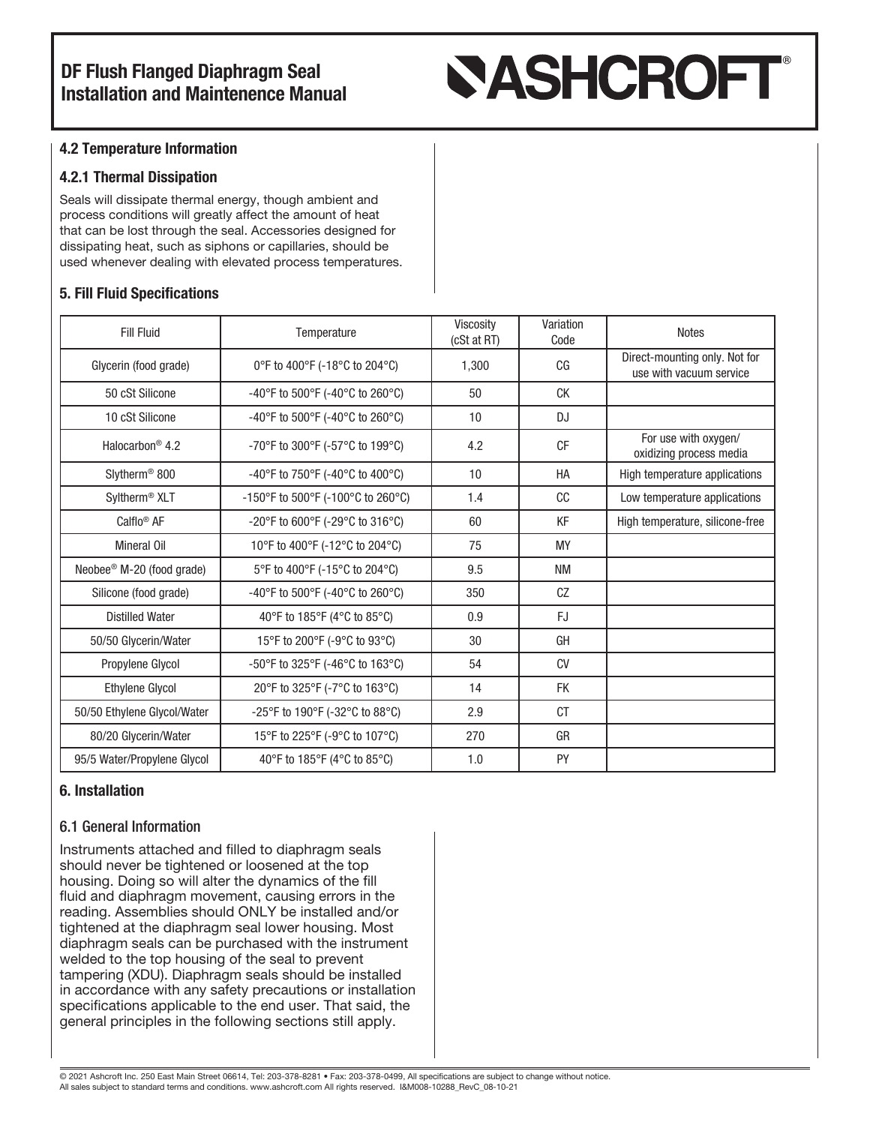# **SASHCROFT®**

#### 4.2 Temperature Information

#### 4.2.1 Thermal Dissipation

Seals will dissipate thermal energy, though ambient and process conditions will greatly affect the amount of heat that can be lost through the seal. Accessories designed for dissipating heat, such as siphons or capillaries, should be used whenever dealing with elevated process temperatures.

#### 5. Fill Fluid Specifications

| <b>Fill Fluid</b>                     | Temperature                       | Viscosity<br>(cSt at RT) | Variation<br>Code | <b>Notes</b>                                             |
|---------------------------------------|-----------------------------------|--------------------------|-------------------|----------------------------------------------------------|
| Glycerin (food grade)                 | 0°F to 400°F (-18°C to 204°C)     | 1,300                    | C <sub>G</sub>    | Direct-mounting only. Not for<br>use with vacuum service |
| 50 cSt Silicone                       | -40°F to 500°F (-40°C to 260°C)   | 50                       | СK                |                                                          |
| 10 cSt Silicone                       | -40°F to 500°F (-40°C to 260°C)   | 10                       | <b>DJ</b>         |                                                          |
| Halocarbon <sup>®</sup> 4.2           | -70°F to 300°F (-57°C to 199°C)   | 4.2                      | <b>CF</b>         | For use with oxygen/<br>oxidizing process media          |
| Slytherm <sup>®</sup> 800             | -40°F to 750°F (-40°C to 400°C)   | 10                       | HA                | High temperature applications                            |
| Syltherm <sup>®</sup> XLT             | -150°F to 500°F (-100°C to 260°C) | 1.4                      | cc                | Low temperature applications                             |
| Calflo <sup>®</sup> AF                | -20°F to 600°F (-29°C to 316°C)   | 60                       | KF                | High temperature, silicone-free                          |
| <b>Mineral Oil</b>                    | 10°F to 400°F (-12°C to 204°C)    | 75                       | <b>MY</b>         |                                                          |
| Neobee <sup>®</sup> M-20 (food grade) | 5°F to 400°F (-15°C to 204°C)     | 9.5                      | <b>NM</b>         |                                                          |
| Silicone (food grade)                 | -40°F to 500°F (-40°C to 260°C)   | 350                      | CZ                |                                                          |
| <b>Distilled Water</b>                | 40°F to 185°F (4°C to 85°C)       | 0.9                      | <b>FJ</b>         |                                                          |
| 50/50 Glycerin/Water                  | 15°F to 200°F (-9°C to 93°C)      | 30                       | GH                |                                                          |
| Propylene Glycol                      | -50°F to 325°F (-46°C to 163°C)   | 54                       | CV                |                                                          |
| <b>Ethylene Glycol</b>                | 20°F to 325°F (-7°C to 163°C)     | 14                       | <b>FK</b>         |                                                          |
| 50/50 Ethylene Glycol/Water           | -25°F to 190°F (-32°C to 88°C)    | 2.9                      | <b>CT</b>         |                                                          |
| 80/20 Glycerin/Water                  | 15°F to 225°F (-9°C to 107°C)     | 270                      | GR                |                                                          |
| 95/5 Water/Propylene Glycol           | 40°F to 185°F (4°C to 85°C)       | 1.0                      | PY                |                                                          |

#### 6. Installation

#### 6.1 General Information

Instruments attached and filled to diaphragm seals should never be tightened or loosened at the top housing. Doing so will alter the dynamics of the fill fluid and diaphragm movement, causing errors in the reading. Assemblies should ONLY be installed and/or tightened at the diaphragm seal lower housing. Most diaphragm seals can be purchased with the instrument welded to the top housing of the seal to prevent tampering (XDU). Diaphragm seals should be installed in accordance with any safety precautions or installation specifications applicable to the end user. That said, the general principles in the following sections still apply.

© 2021 Ashcroft Inc. 250 East Main Street 06614, Tel: 203-378-8281 • Fax: 203-378-0499, All specifications are subject to change without notice. All sales subject to standard terms and conditions. www.ashcroft.com All rights reserved. I&M008-10288\_RevC\_08-10-21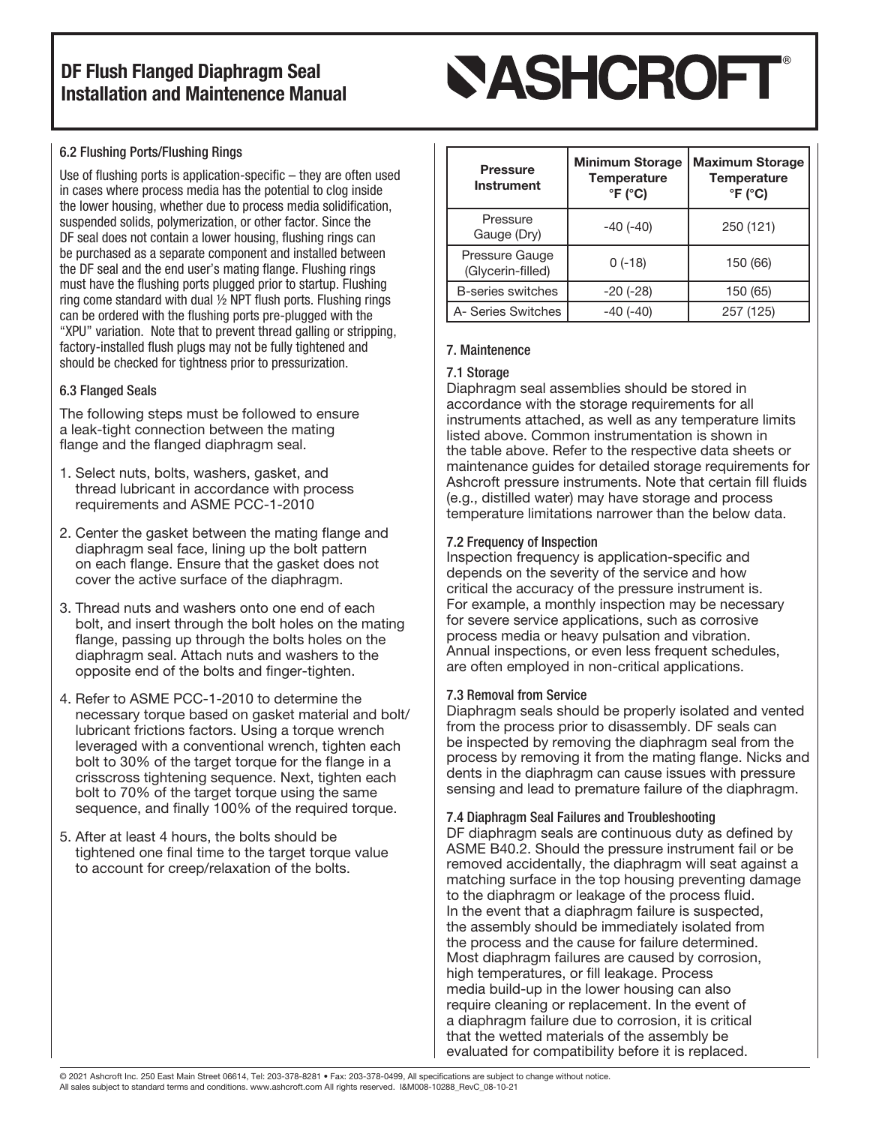# **SASHCROFT®**

#### 6.2 Flushing Ports/Flushing Rings

Use of flushing ports is application-specific – they are often used in cases where process media has the potential to clog inside the lower housing, whether due to process media solidification, suspended solids, polymerization, or other factor. Since the DF seal does not contain a lower housing, flushing rings can be purchased as a separate component and installed between the DF seal and the end user's mating flange. Flushing rings must have the flushing ports plugged prior to startup. Flushing ring come standard with dual ½ NPT flush ports. Flushing rings can be ordered with the flushing ports pre-plugged with the "XPU" variation. Note that to prevent thread galling or stripping, factory-installed flush plugs may not be fully tightened and should be checked for tightness prior to pressurization.

#### 6.3 Flanged Seals

The following steps must be followed to ensure a leak-tight connection between the mating flange and the flanged diaphragm seal.

- 1. Select nuts, bolts, washers, gasket, and thread lubricant in accordance with process requirements and ASME PCC-1-2010
- 2. Center the gasket between the mating flange and diaphragm seal face, lining up the bolt pattern on each flange. Ensure that the gasket does not cover the active surface of the diaphragm.
- 3. Thread nuts and washers onto one end of each bolt, and insert through the bolt holes on the mating flange, passing up through the bolts holes on the diaphragm seal. Attach nuts and washers to the opposite end of the bolts and finger-tighten.
- 4. Refer to ASME PCC-1-2010 to determine the necessary torque based on gasket material and bolt/ lubricant frictions factors. Using a torque wrench leveraged with a conventional wrench, tighten each bolt to 30% of the target torque for the flange in a crisscross tightening sequence. Next, tighten each bolt to 70% of the target torque using the same sequence, and finally 100% of the required torque.
- 5. After at least 4 hours, the bolts should be tightened one final time to the target torque value to account for creep/relaxation of the bolts.

| <b>Pressure</b><br>Instrument       | <b>Minimum Storage</b><br><b>Temperature</b><br>$\degree$ F ( $\degree$ C) | <b>Maximum Storage</b><br><b>Temperature</b><br>$\degree$ F ( $\degree$ C) |
|-------------------------------------|----------------------------------------------------------------------------|----------------------------------------------------------------------------|
| Pressure<br>Gauge (Dry)             | $-40(-40)$                                                                 | 250 (121)                                                                  |
| Pressure Gauge<br>(Glycerin-filled) | $0(-18)$                                                                   | 150 (66)                                                                   |
| B-series switches                   | $-20(-28)$                                                                 | 150 (65)                                                                   |
| A- Series Switches                  | -40 (-40)                                                                  | 257 (125)                                                                  |

#### 7. Maintenence

#### 7.1 Storage

Diaphragm seal assemblies should be stored in accordance with the storage requirements for all instruments attached, as well as any temperature limits listed above. Common instrumentation is shown in the table above. Refer to the respective data sheets or maintenance guides for detailed storage requirements for Ashcroft pressure instruments. Note that certain fill fluids (e.g., distilled water) may have storage and process temperature limitations narrower than the below data.

#### 7.2 Frequency of Inspection

Inspection frequency is application-specific and depends on the severity of the service and how critical the accuracy of the pressure instrument is. For example, a monthly inspection may be necessary for severe service applications, such as corrosive process media or heavy pulsation and vibration. Annual inspections, or even less frequent schedules, are often employed in non-critical applications.

#### 7.3 Removal from Service

Diaphragm seals should be properly isolated and vented from the process prior to disassembly. DF seals can be inspected by removing the diaphragm seal from the process by removing it from the mating flange. Nicks and dents in the diaphragm can cause issues with pressure sensing and lead to premature failure of the diaphragm.

#### 7.4 Diaphragm Seal Failures and Troubleshooting

DF diaphragm seals are continuous duty as defined by ASME B40.2. Should the pressure instrument fail or be removed accidentally, the diaphragm will seat against a matching surface in the top housing preventing damage to the diaphragm or leakage of the process fluid. In the event that a diaphragm failure is suspected, the assembly should be immediately isolated from the process and the cause for failure determined. Most diaphragm failures are caused by corrosion, high temperatures, or fill leakage. Process media build-up in the lower housing can also require cleaning or replacement. In the event of a diaphragm failure due to corrosion, it is critical that the wetted materials of the assembly be evaluated for compatibility before it is replaced.